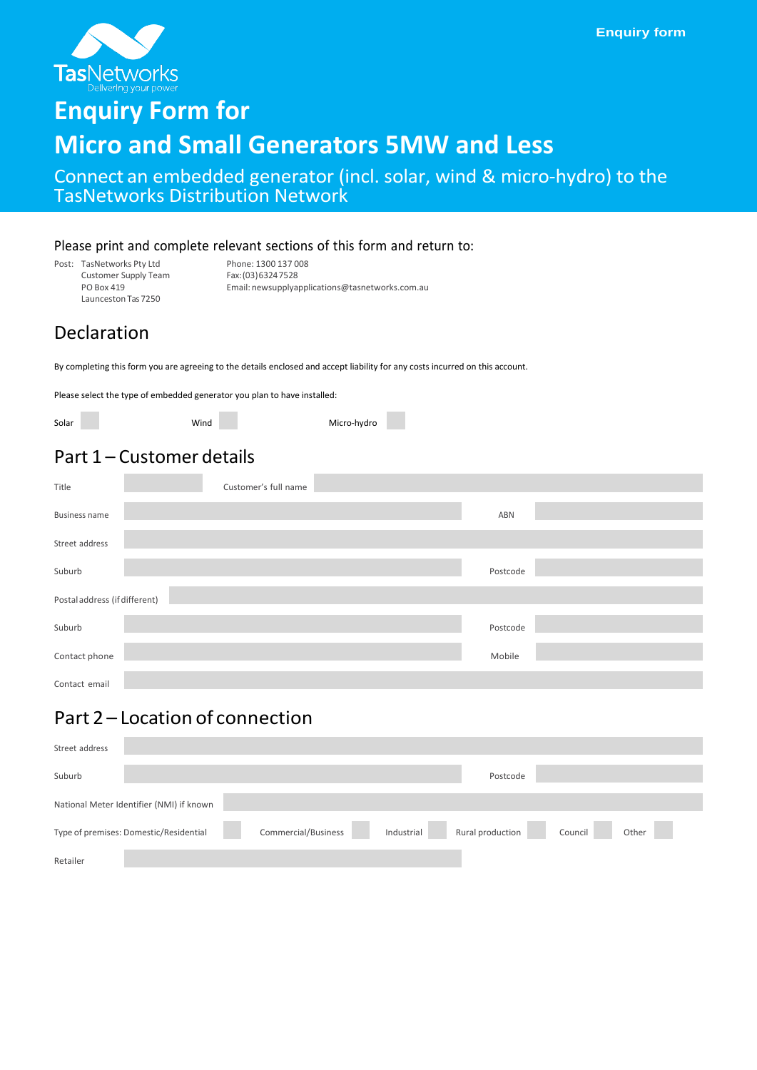

# **Enquiry Form for**

## **Micro and Small Generators 5MW and Less**

Connect an embedded generator (incl. solar, wind & micro-hydro) to the TasNetworks Distribution Network

#### Please print and complete relevant sections of this form and return to:

Post: TasNetworks Pty Ltd Phone: 1300 137 008<br>Customer Supply Team Fax: (03) 6324 7528 Customer Supply Team<br>PO Box 419 Launceston Tas 7250

Email: newsupplyapplications@tasnetworks.com.au

### Declaration

By completing this form you are agreeing to the details enclosed and accept liability for any costs incurred on this account.

Please select the type of embedded generator you plan to have installed:

Wind Micro-hydro

### Part 1 – Customer details

| Title                         | Customer's full name |          |  |
|-------------------------------|----------------------|----------|--|
| <b>Business name</b>          |                      | ABN      |  |
| Street address                |                      |          |  |
| Suburb                        |                      | Postcode |  |
| Postal address (if different) |                      |          |  |
| Suburb                        |                      | Postcode |  |
| Contact phone                 |                      | Mobile   |  |
| Contact email                 |                      |          |  |

### Part 2 – Location of connection

| Street address |                                          |                     |            |                  |         |       |
|----------------|------------------------------------------|---------------------|------------|------------------|---------|-------|
| Suburb         |                                          |                     |            | Postcode         |         |       |
|                | National Meter Identifier (NMI) if known |                     |            |                  |         |       |
|                | Type of premises: Domestic/Residential   | Commercial/Business | Industrial | Rural production | Council | Other |
| Retailer       |                                          |                     |            |                  |         |       |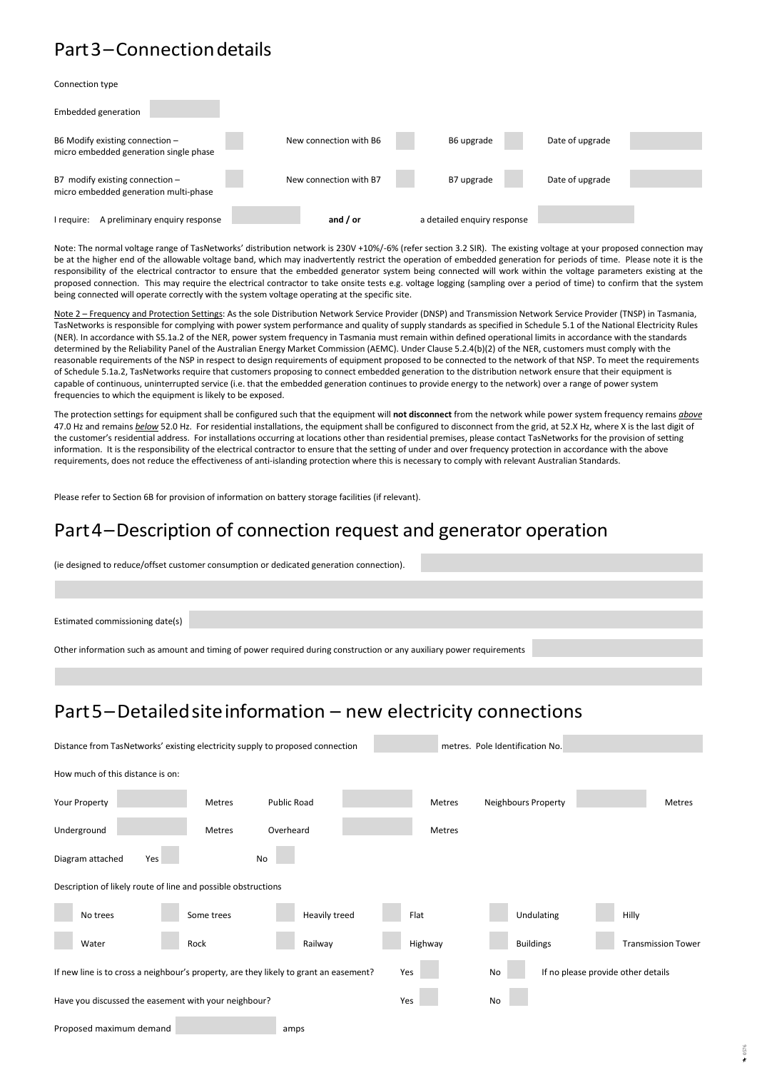### Part3–Connectiondetails

Connection type

| <b>Embedded generation</b>                                                 |                        |                             |                 |  |
|----------------------------------------------------------------------------|------------------------|-----------------------------|-----------------|--|
| B6 Modify existing connection -<br>micro embedded generation single phase  | New connection with B6 | B6 upgrade                  | Date of upgrade |  |
| B7 modify existing connection $-$<br>micro embedded generation multi-phase | New connection with B7 | B7 upgrade                  | Date of upgrade |  |
| A preliminary enguiry response<br>I require:                               | and $/$ or             | a detailed enquiry response |                 |  |

Note: The normal voltage range of TasNetworks' distribution network is 230V +10%/-6% (refer section 3.2 SIR). The existing voltage at your proposed connection may be at the higher end of the allowable voltage band, which may inadvertently restrict the operation of embedded generation for periods of time. Please note it is the responsibility of the electrical contractor to ensure that the embedded generator system being connected will work within the voltage parameters existing at the proposed connection. This may require the electrical contractor to take onsite tests e.g. voltage logging (sampling over a period of time) to confirm that the system being connected will operate correctly with the system voltage operating at the specific site.

Note 2 - Frequency and Protection Settings: As the sole Distribution Network Service Provider (DNSP) and Transmission Network Service Provider (TNSP) in Tasmania, TasNetworks is responsible for complying with power system performance and quality of supply standards as specified in Schedule 5.1 of the National Electricity Rules (NER). In accordance with S5.1a.2 of the NER, power system frequency in Tasmania must remain within defined operational limits in accordance with the standards determined by the Reliability Panel of the Australian Energy Market Commission (AEMC). Under Clause 5.2.4(b)(2) of the NER, customers must comply with the reasonable requirements of the NSP in respect to design requirements of equipment proposed to be connected to the network of that NSP. To meet the requirements of Schedule 5.1a.2, TasNetworks require that customers proposing to connect embedded generation to the distribution network ensure that their equipment is capable of continuous, uninterrupted service (i.e. that the embedded generation continues to provide energy to the network) over a range of power system frequencies to which the equipment is likely to be exposed.

The protection settings for equipment shall be configured such that the equipment will **not disconnect** from the network while power system frequency remains *above* 47.0 Hz and remains *below* 52.0 Hz. For residential installations, the equipment shall be configured to disconnect from the grid, at 52.X Hz, where X is the last digit of the customer's residential address. For installations occurring at locations other than residential premises, please contact TasNetworks for the provision of setting information. It is the responsibility of the electrical contractor to ensure that the setting of under and over frequency protection in accordance with the above requirements, does not reduce the effectiveness of anti-islanding protection where this is necessary to comply with relevant Australian Standards.

Please refer to Section 6B for provision of information on battery storage facilities (if relevant).

#### Part4–Description of connection request and generator operation

(ie designed to reduce/offset customer consumption or dedicated generation connection).

Estimated commissioning date(s)

Other information such as amount and timing of power required during construction or any auxiliary power requirements

#### Part5–Detailedsiteinformation – new electricity connections

| Distance from TasNetworks' existing electricity supply to proposed connection         |            |               |         | metres. Pole Identification No. |                                    |
|---------------------------------------------------------------------------------------|------------|---------------|---------|---------------------------------|------------------------------------|
| How much of this distance is on:                                                      |            |               |         |                                 |                                    |
| Your Property                                                                         | Metres     | Public Road   | Metres  | Neighbours Property             | <b>Metres</b>                      |
| Underground                                                                           | Metres     | Overheard     | Metres  |                                 |                                    |
| Diagram attached<br>Yes                                                               | No         |               |         |                                 |                                    |
| Description of likely route of line and possible obstructions                         |            |               |         |                                 |                                    |
| No trees                                                                              | Some trees | Heavily treed | Flat    | Undulating                      | Hilly                              |
| Water                                                                                 | Rock       | Railway       | Highway | <b>Buildings</b>                | <b>Transmission Tower</b>          |
| If new line is to cross a neighbour's property, are they likely to grant an easement? |            |               | Yes     | No                              | If no please provide other details |
| Have you discussed the easement with your neighbour?                                  |            |               | Yes     | No                              |                                    |
| Proposed maximum demand                                                               |            | amps          |         |                                 |                                    |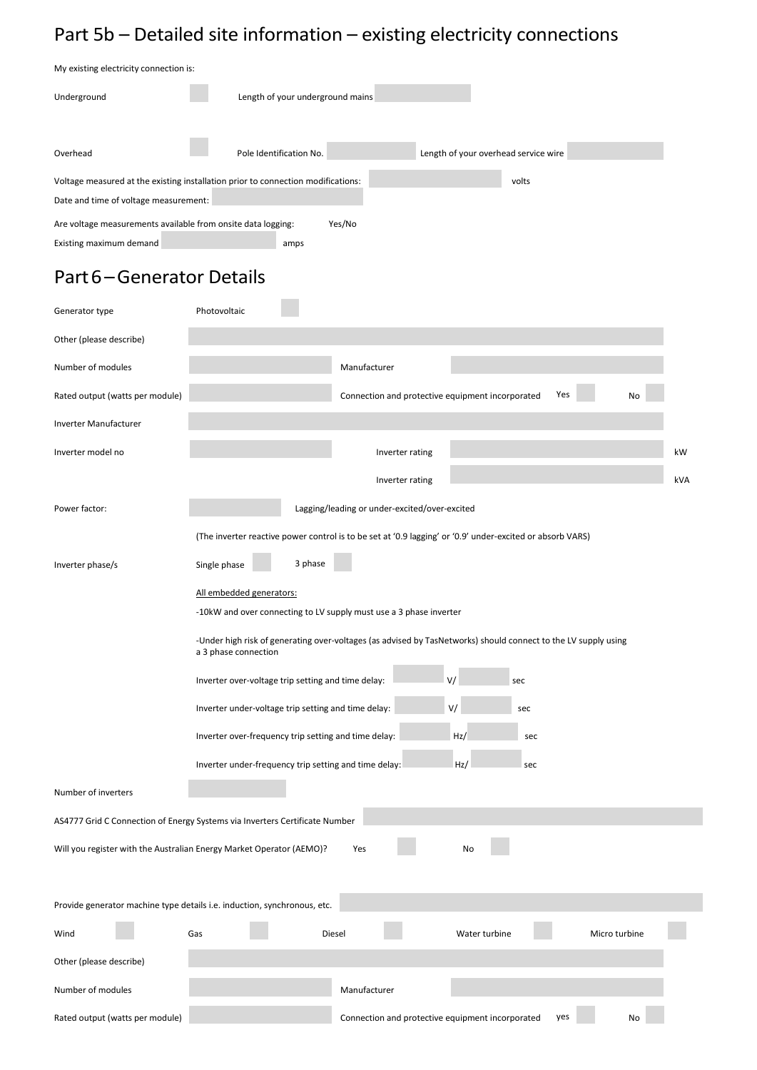## Part 5b – Detailed site information – existing electricity connections

| My existing electricity connection is:                                           |                                  |  |                                      |  |  |
|----------------------------------------------------------------------------------|----------------------------------|--|--------------------------------------|--|--|
| Underground                                                                      | Length of your underground mains |  |                                      |  |  |
|                                                                                  |                                  |  |                                      |  |  |
| Overhead                                                                         | Pole Identification No.          |  | Length of your overhead service wire |  |  |
| Voltage measured at the existing installation prior to connection modifications: |                                  |  | volts                                |  |  |
| Date and time of voltage measurement:                                            |                                  |  |                                      |  |  |
| Are voltage measurements available from onsite data logging:                     | Yes/No                           |  |                                      |  |  |
| Existing maximum demand                                                          | amps                             |  |                                      |  |  |

## Part6–Generator Details

| Generator type                                                       | Photovoltaic                                                                                                                           |
|----------------------------------------------------------------------|----------------------------------------------------------------------------------------------------------------------------------------|
| Other (please describe)                                              |                                                                                                                                        |
| Number of modules                                                    | Manufacturer                                                                                                                           |
| Rated output (watts per module)                                      | Connection and protective equipment incorporated<br>Yes                                                                                |
| Inverter Manufacturer                                                |                                                                                                                                        |
| Inverter model no                                                    | kW<br>Inverter rating                                                                                                                  |
|                                                                      | kVA<br>Inverter rating                                                                                                                 |
| Power factor:                                                        | Lagging/leading or under-excited/over-excited                                                                                          |
|                                                                      | (The inverter reactive power control is to be set at '0.9 lagging' or '0.9' under-excited or absorb VARS)                              |
| Inverter phase/s                                                     | 3 phase<br>Single phase                                                                                                                |
|                                                                      | All embedded generators:                                                                                                               |
|                                                                      | -10kW and over connecting to LV supply must use a 3 phase inverter                                                                     |
|                                                                      | -Under high risk of generating over-voltages (as advised by TasNetworks) should connect to the LV supply using<br>a 3 phase connection |
|                                                                      | V/<br>Inverter over-voltage trip setting and time delay:<br>sec                                                                        |
|                                                                      | V/<br>Inverter under-voltage trip setting and time delay:<br>sec                                                                       |
|                                                                      | Inverter over-frequency trip setting and time delay:<br>Hz/<br>sec                                                                     |
|                                                                      | Inverter under-frequency trip setting and time delay:<br>Hz/<br>sec                                                                    |
| Number of inverters                                                  |                                                                                                                                        |
|                                                                      | AS4777 Grid C Connection of Energy Systems via Inverters Certificate Number                                                            |
| Will you register with the Australian Energy Market Operator (AEMO)? | Yes<br>No                                                                                                                              |
|                                                                      |                                                                                                                                        |
|                                                                      | Provide generator machine type details i.e. induction, synchronous, etc.                                                               |
| Wind                                                                 | Gas<br>Diesel<br>Water turbine<br>Micro turbine                                                                                        |
| Other (please describe)                                              |                                                                                                                                        |
| Number of modules                                                    | Manufacturer                                                                                                                           |
| Rated output (watts per module)                                      | Connection and protective equipment incorporated<br>yes<br>No                                                                          |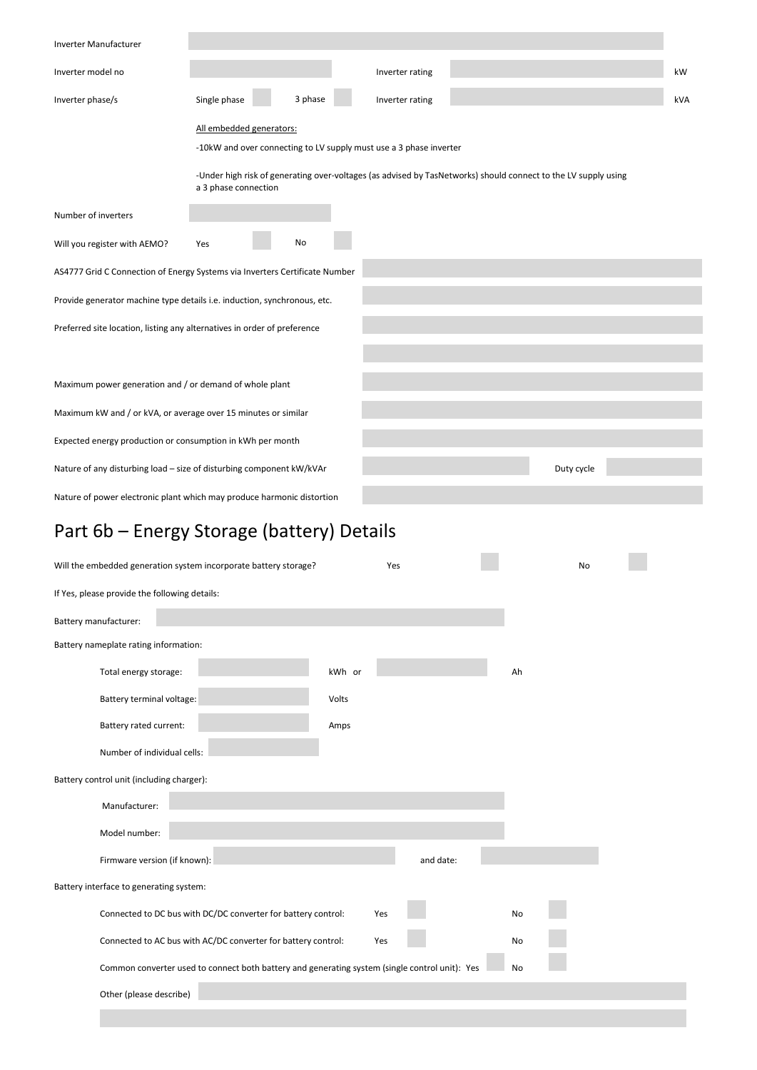| Inverter Manufacturer                                                              |                          |    |         |                                                                    |                                                                                                                |  |     |
|------------------------------------------------------------------------------------|--------------------------|----|---------|--------------------------------------------------------------------|----------------------------------------------------------------------------------------------------------------|--|-----|
| Inverter model no                                                                  |                          |    |         | Inverter rating                                                    |                                                                                                                |  | kW  |
| Inverter phase/s                                                                   | Single phase             |    | 3 phase | Inverter rating                                                    |                                                                                                                |  | kVA |
|                                                                                    | All embedded generators: |    |         |                                                                    |                                                                                                                |  |     |
|                                                                                    |                          |    |         | -10kW and over connecting to LV supply must use a 3 phase inverter |                                                                                                                |  |     |
|                                                                                    | a 3 phase connection     |    |         |                                                                    | -Under high risk of generating over-voltages (as advised by TasNetworks) should connect to the LV supply using |  |     |
| Number of inverters                                                                |                          |    |         |                                                                    |                                                                                                                |  |     |
| Will you register with AEMO?                                                       | Yes                      | No |         |                                                                    |                                                                                                                |  |     |
| AS4777 Grid C Connection of Energy Systems via Inverters Certificate Number        |                          |    |         |                                                                    |                                                                                                                |  |     |
| Provide generator machine type details i.e. induction, synchronous, etc.           |                          |    |         |                                                                    |                                                                                                                |  |     |
| Preferred site location, listing any alternatives in order of preference           |                          |    |         |                                                                    |                                                                                                                |  |     |
|                                                                                    |                          |    |         |                                                                    |                                                                                                                |  |     |
| Maximum power generation and / or demand of whole plant                            |                          |    |         |                                                                    |                                                                                                                |  |     |
| Maximum kW and / or kVA, or average over 15 minutes or similar                     |                          |    |         |                                                                    |                                                                                                                |  |     |
|                                                                                    |                          |    |         |                                                                    |                                                                                                                |  |     |
| Expected energy production or consumption in kWh per month                         |                          |    |         |                                                                    |                                                                                                                |  |     |
| Nature of any disturbing load - size of disturbing component kW/kVAr<br>Duty cycle |                          |    |         |                                                                    |                                                                                                                |  |     |
| Nature of power electronic plant which may produce harmonic distortion             |                          |    |         |                                                                    |                                                                                                                |  |     |
|                                                                                    |                          |    |         |                                                                    |                                                                                                                |  |     |

## Part 6b – Energy Storage (battery) Details

|                                               | Will the embedded generation system incorporate battery storage?                               |        | Yes       |    | No |  |
|-----------------------------------------------|------------------------------------------------------------------------------------------------|--------|-----------|----|----|--|
| If Yes, please provide the following details: |                                                                                                |        |           |    |    |  |
| Battery manufacturer:                         |                                                                                                |        |           |    |    |  |
| Battery nameplate rating information:         |                                                                                                |        |           |    |    |  |
| Total energy storage:                         |                                                                                                | kWh or |           | Ah |    |  |
| Battery terminal voltage:                     |                                                                                                | Volts  |           |    |    |  |
| Battery rated current:                        |                                                                                                | Amps   |           |    |    |  |
|                                               | Number of individual cells:                                                                    |        |           |    |    |  |
| Battery control unit (including charger):     |                                                                                                |        |           |    |    |  |
| Manufacturer:                                 |                                                                                                |        |           |    |    |  |
| Model number:                                 |                                                                                                |        |           |    |    |  |
|                                               | Firmware version (if known):                                                                   |        | and date: |    |    |  |
| Battery interface to generating system:       |                                                                                                |        |           |    |    |  |
|                                               | Connected to DC bus with DC/DC converter for battery control:                                  |        | Yes       | No |    |  |
|                                               | Connected to AC bus with AC/DC converter for battery control:                                  |        | Yes       | No |    |  |
|                                               | Common converter used to connect both battery and generating system (single control unit): Yes |        |           | No |    |  |
| Other (please describe)                       |                                                                                                |        |           |    |    |  |
|                                               |                                                                                                |        |           |    |    |  |
|                                               |                                                                                                |        |           |    |    |  |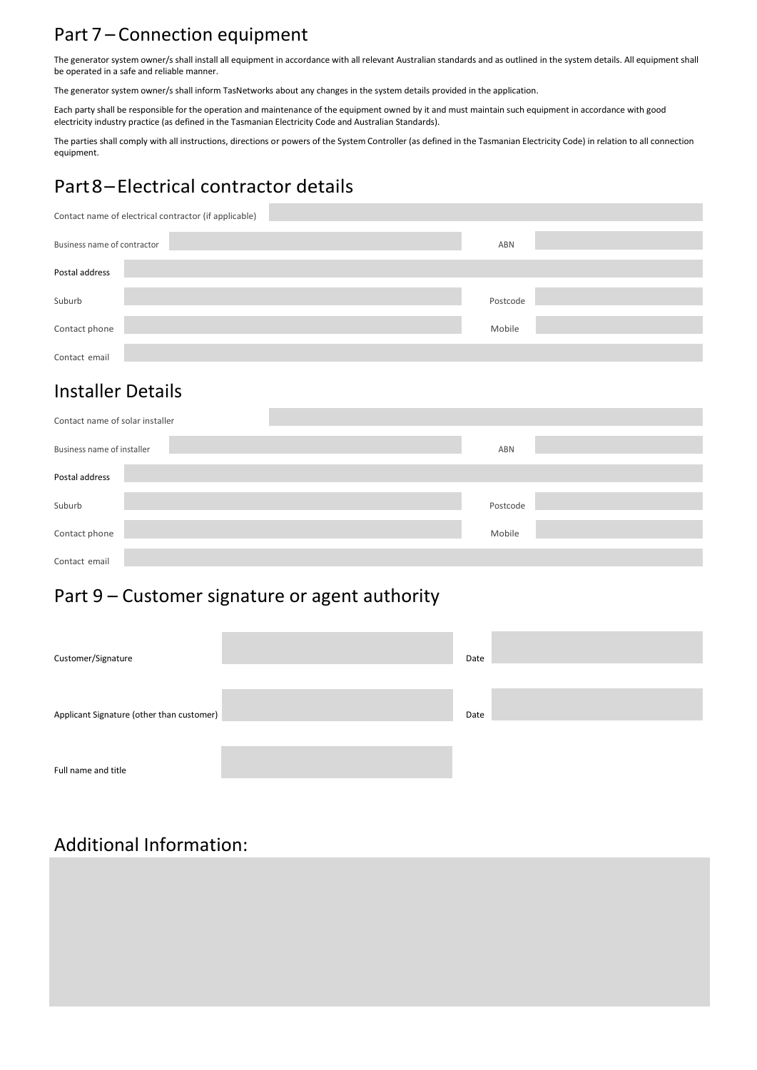### Part 7 – Connection equipment

The generator system owner/s shall install all equipment in accordance with all relevant Australian standards and as outlined in the system details. All equipment shall be operated in a safe and reliable manner.

The generator system owner/s shall inform TasNetworks about any changes in the system details provided in the application.

Each party shall be responsible for the operation and maintenance of the equipment owned by it and must maintain such equipment in accordance with good electricity industry practice (as defined in the Tasmanian Electricity Code and Australian Standards).

The parties shall comply with all instructions, directions or powers of the System Controller (as defined in the Tasmanian Electricity Code) in relation to all connection equipment.

## Part8–Electrical contractor details

| Contact name of electrical contractor (if applicable) |          |  |  |  |  |
|-------------------------------------------------------|----------|--|--|--|--|
| Business name of contractor                           | ABN      |  |  |  |  |
| Postal address                                        |          |  |  |  |  |
| Suburb                                                | Postcode |  |  |  |  |
| Contact phone                                         | Mobile   |  |  |  |  |
| Contact email                                         |          |  |  |  |  |

### Installer Details

| Contact name of solar installer |          |
|---------------------------------|----------|
| Business name of installer      | ABN      |
| Postal address                  |          |
| Suburb                          | Postcode |
| Contact phone                   | Mobile   |
| Contact email                   |          |

### Part 9 – Customer signature or agent authority

| Customer/Signature                        | Date |  |
|-------------------------------------------|------|--|
| Applicant Signature (other than customer) | Date |  |
| Full name and title                       |      |  |

### Additional Information: